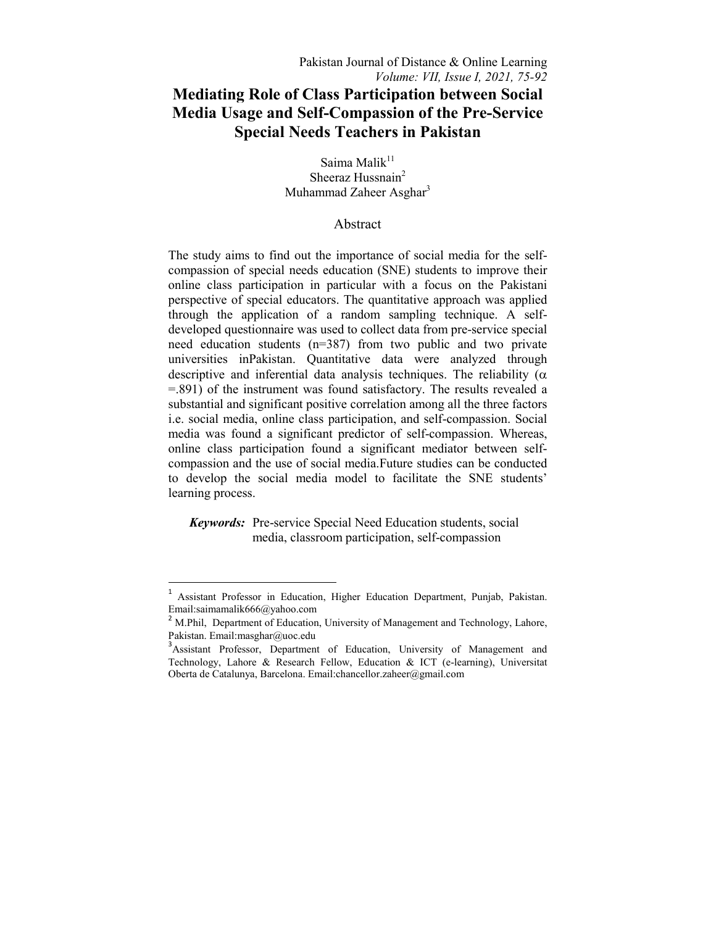# **Mediating Role of Class Participation between Social Media Usage and Self-Compassion of the Pre-Service Special Needs Teachers in Pakistan**

Saima Mali $k^{11}$ Sheeraz Hussnain<sup>2</sup> Muhammad Zaheer Asghar<sup>3</sup>

# Abstract

The study aims to find out the importance of social media for the selfcompassion of special needs education (SNE) students to improve their online class participation in particular with a focus on the Pakistani perspective of special educators. The quantitative approach was applied through the application of a random sampling technique. A selfdeveloped questionnaire was used to collect data from pre-service special need education students (n=387) from two public and two private universities inPakistan. Quantitative data were analyzed through descriptive and inferential data analysis techniques. The reliability ( $\alpha$ ) =.891) of the instrument was found satisfactory. The results revealed a substantial and significant positive correlation among all the three factors i.e. social media, online class participation, and self-compassion. Social media was found a significant predictor of self-compassion. Whereas, online class participation found a significant mediator between selfcompassion and the use of social media.Future studies can be conducted to develop the social media model to facilitate the SNE students' learning process.

 *Keywords:* Pre-service Special Need Education students, social media, classroom participation, self-compassion

 $\overline{a}$ 

<sup>&</sup>lt;sup>1</sup> Assistant Professor in Education, Higher Education Department, Punjab, Pakistan. Email:saimamalik666@yahoo.com

<sup>&</sup>lt;sup>2</sup> M.Phil, Department of Education, University of Management and Technology, Lahore, Pakistan. Email:masghar@uoc.edu

<sup>&</sup>lt;sup>3</sup> Assistant Professor, Department of Education, University of Management and Technology, Lahore & Research Fellow, Education & ICT (e-learning), Universitat Oberta de Catalunya, Barcelona. Email:chancellor.zaheer@gmail.com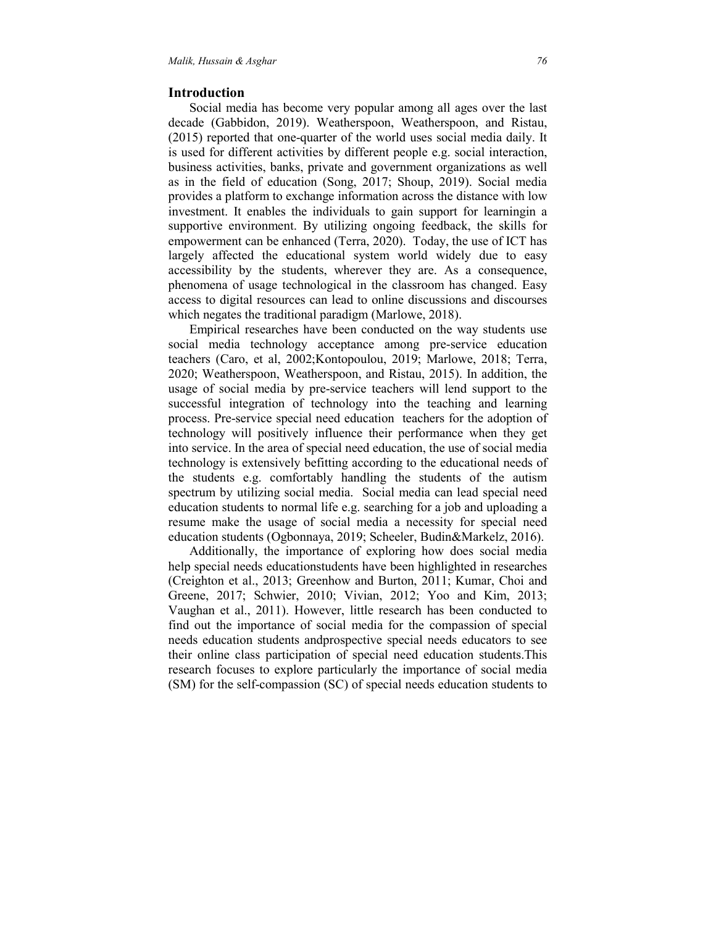## **Introduction**

 Social media has become very popular among all ages over the last decade (Gabbidon, 2019). Weatherspoon, Weatherspoon, and Ristau, (2015) reported that one-quarter of the world uses social media daily. It is used for different activities by different people e.g. social interaction, business activities, banks, private and government organizations as well as in the field of education (Song, 2017; Shoup, 2019). Social media provides a platform to exchange information across the distance with low investment. It enables the individuals to gain support for learningin a supportive environment. By utilizing ongoing feedback, the skills for empowerment can be enhanced (Terra, 2020). Today, the use of ICT has largely affected the educational system world widely due to easy accessibility by the students, wherever they are. As a consequence, phenomena of usage technological in the classroom has changed. Easy access to digital resources can lead to online discussions and discourses which negates the traditional paradigm (Marlowe, 2018).

 Empirical researches have been conducted on the way students use social media technology acceptance among pre-service education teachers (Caro, et al, 2002;Kontopoulou, 2019; Marlowe, 2018; Terra, 2020; Weatherspoon, Weatherspoon, and Ristau, 2015). In addition, the usage of social media by pre-service teachers will lend support to the successful integration of technology into the teaching and learning process. Pre-service special need education teachers for the adoption of technology will positively influence their performance when they get into service. In the area of special need education, the use of social media technology is extensively befitting according to the educational needs of the students e.g. comfortably handling the students of the autism spectrum by utilizing social media. Social media can lead special need education students to normal life e.g. searching for a job and uploading a resume make the usage of social media a necessity for special need education students (Ogbonnaya, 2019; Scheeler, Budin&Markelz, 2016).

 Additionally, the importance of exploring how does social media help special needs educationstudents have been highlighted in researches (Creighton et al., 2013; Greenhow and Burton, 2011; Kumar, Choi and Greene, 2017; Schwier, 2010; Vivian, 2012; Yoo and Kim, 2013; Vaughan et al., 2011). However, little research has been conducted to find out the importance of social media for the compassion of special needs education students andprospective special needs educators to see their online class participation of special need education students.This research focuses to explore particularly the importance of social media (SM) for the self-compassion (SC) of special needs education students to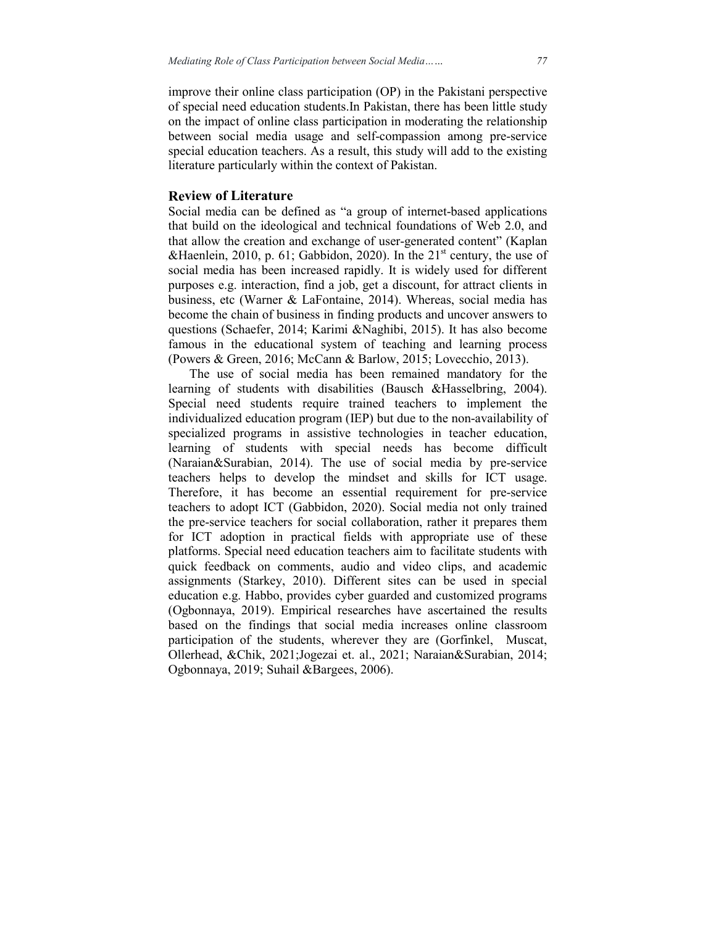improve their online class participation (OP) in the Pakistani perspective of special need education students.In Pakistan, there has been little study on the impact of online class participation in moderating the relationship between social media usage and self-compassion among pre-service special education teachers. As a result, this study will add to the existing literature particularly within the context of Pakistan.

### **Review of Literature**

Social media can be defined as "a group of internet-based applications that build on the ideological and technical foundations of Web 2.0, and that allow the creation and exchange of user-generated content" (Kaplan &Haenlein, 2010, p. 61; Gabbidon, 2020). In the  $21<sup>st</sup>$  century, the use of social media has been increased rapidly. It is widely used for different purposes e.g. interaction, find a job, get a discount, for attract clients in business, etc (Warner & LaFontaine, 2014). Whereas, social media has become the chain of business in finding products and uncover answers to questions (Schaefer, 2014; Karimi &Naghibi, 2015). It has also become famous in the educational system of teaching and learning process (Powers & Green, 2016; McCann & Barlow, 2015; Lovecchio, 2013).

 The use of social media has been remained mandatory for the learning of students with disabilities (Bausch &Hasselbring, 2004). Special need students require trained teachers to implement the individualized education program (IEP) but due to the non-availability of specialized programs in assistive technologies in teacher education, learning of students with special needs has become difficult (Naraian&Surabian, 2014). The use of social media by pre-service teachers helps to develop the mindset and skills for ICT usage. Therefore, it has become an essential requirement for pre-service teachers to adopt ICT (Gabbidon, 2020). Social media not only trained the pre-service teachers for social collaboration, rather it prepares them for ICT adoption in practical fields with appropriate use of these platforms. Special need education teachers aim to facilitate students with quick feedback on comments, audio and video clips, and academic assignments (Starkey, 2010). Different sites can be used in special education e.g. Habbo, provides cyber guarded and customized programs (Ogbonnaya, 2019). Empirical researches have ascertained the results based on the findings that social media increases online classroom participation of the students, wherever they are (Gorfinkel, Muscat, Ollerhead, &Chik, 2021;Jogezai et. al., 2021; Naraian&Surabian, 2014; Ogbonnaya, 2019; Suhail &Bargees, 2006).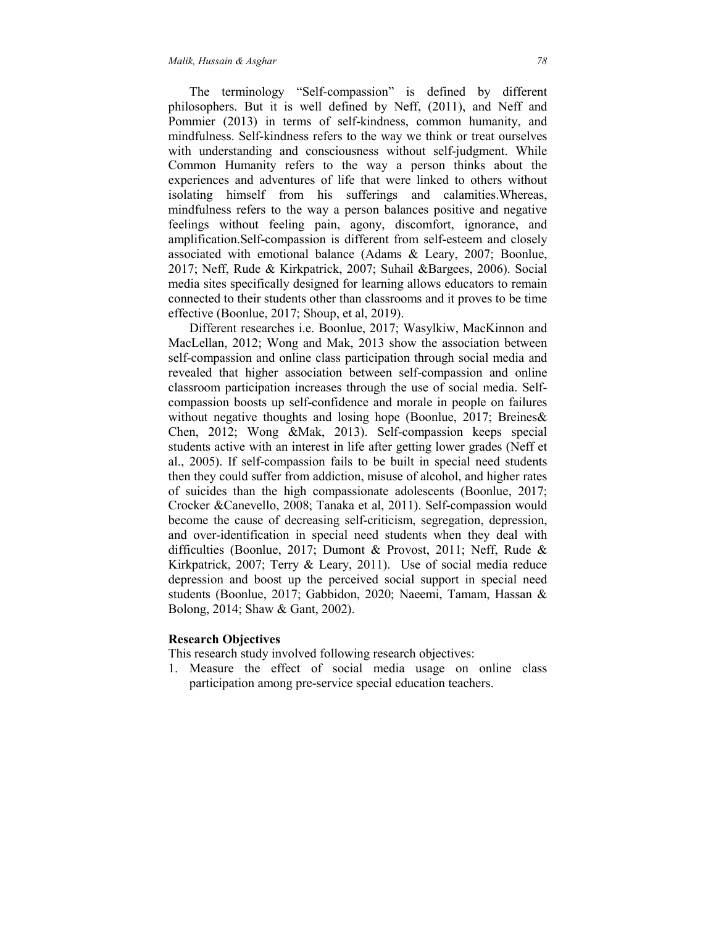The terminology "Self-compassion" is defined by different philosophers. But it is well defined by Neff, (2011), and Neff and Pommier (2013) in terms of self-kindness, common humanity, and mindfulness. Self-kindness refers to the way we think or treat ourselves with understanding and consciousness without self-judgment. While Common Humanity refers to the way a person thinks about the experiences and adventures of life that were linked to others without isolating himself from his sufferings and calamities.Whereas, mindfulness refers to the way a person balances positive and negative feelings without feeling pain, agony, discomfort, ignorance, and amplification.Self-compassion is different from self-esteem and closely associated with emotional balance (Adams & Leary, 2007; Boonlue, 2017; Neff, Rude & Kirkpatrick, 2007; Suhail &Bargees, 2006). Social media sites specifically designed for learning allows educators to remain connected to their students other than classrooms and it proves to be time effective (Boonlue, 2017; Shoup, et al, 2019).

 Different researches i.e. Boonlue, 2017; Wasylkiw, MacKinnon and MacLellan, 2012; Wong and Mak, 2013 show the association between self-compassion and online class participation through social media and revealed that higher association between self-compassion and online classroom participation increases through the use of social media. Selfcompassion boosts up self-confidence and morale in people on failures without negative thoughts and losing hope (Boonlue, 2017; Breines& Chen, 2012; Wong &Mak, 2013). Self-compassion keeps special students active with an interest in life after getting lower grades (Neff et al., 2005). If self-compassion fails to be built in special need students then they could suffer from addiction, misuse of alcohol, and higher rates of suicides than the high compassionate adolescents (Boonlue, 2017; Crocker &Canevello, 2008; Tanaka et al, 2011). Self-compassion would become the cause of decreasing self-criticism, segregation, depression, and over-identification in special need students when they deal with difficulties (Boonlue, 2017; Dumont & Provost, 2011; Neff, Rude & Kirkpatrick, 2007; Terry & Leary, 2011). Use of social media reduce depression and boost up the perceived social support in special need students (Boonlue, 2017; Gabbidon, 2020; Naeemi, Tamam, Hassan & Bolong, 2014; Shaw & Gant, 2002).

#### **Research Objectives**

This research study involved following research objectives:

1. Measure the effect of social media usage on online class participation among pre-service special education teachers.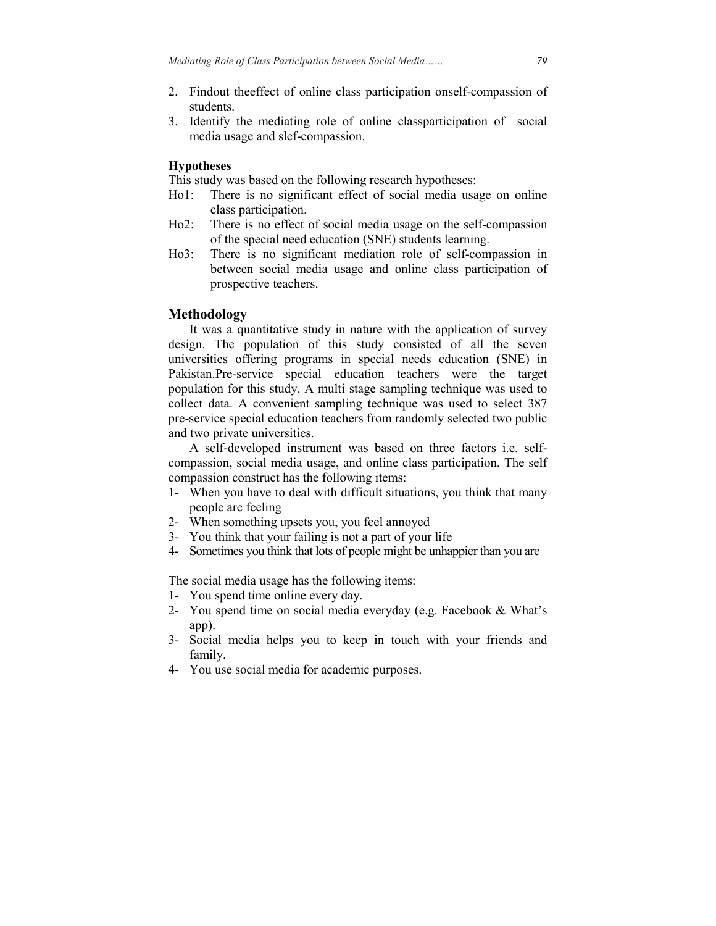- 2. Findout theeffect of online class participation onself-compassion of students.
- 3. Identify the mediating role of online classparticipation of social media usage and slef-compassion.

## **Hypotheses**

This study was based on the following research hypotheses:

- Ho1: There is no significant effect of social media usage on online class participation.
- Ho2: There is no effect of social media usage on the self-compassion of the special need education (SNE) students learning.
- Ho3: There is no significant mediation role of self-compassion in between social media usage and online class participation of prospective teachers.

## **Methodology**

 It was a quantitative study in nature with the application of survey design. The population of this study consisted of all the seven universities offering programs in special needs education (SNE) in Pakistan.Pre-service special education teachers were the target population for this study. A multi stage sampling technique was used to collect data. A convenient sampling technique was used to select 387 pre-service special education teachers from randomly selected two public and two private universities.

 A self-developed instrument was based on three factors i.e. selfcompassion, social media usage, and online class participation. The self compassion construct has the following items:

- 1- When you have to deal with difficult situations, you think that many people are feeling
- 2- When something upsets you, you feel annoyed
- 3- You think that your failing is not a part of your life
- 4- Sometimes you think that lots of people might be unhappier than you are

The social media usage has the following items:

- 1- You spend time online every day.
- 2- You spend time on social media everyday (e.g. Facebook & What's app).
- 3- Social media helps you to keep in touch with your friends and family.
- 4- You use social media for academic purposes.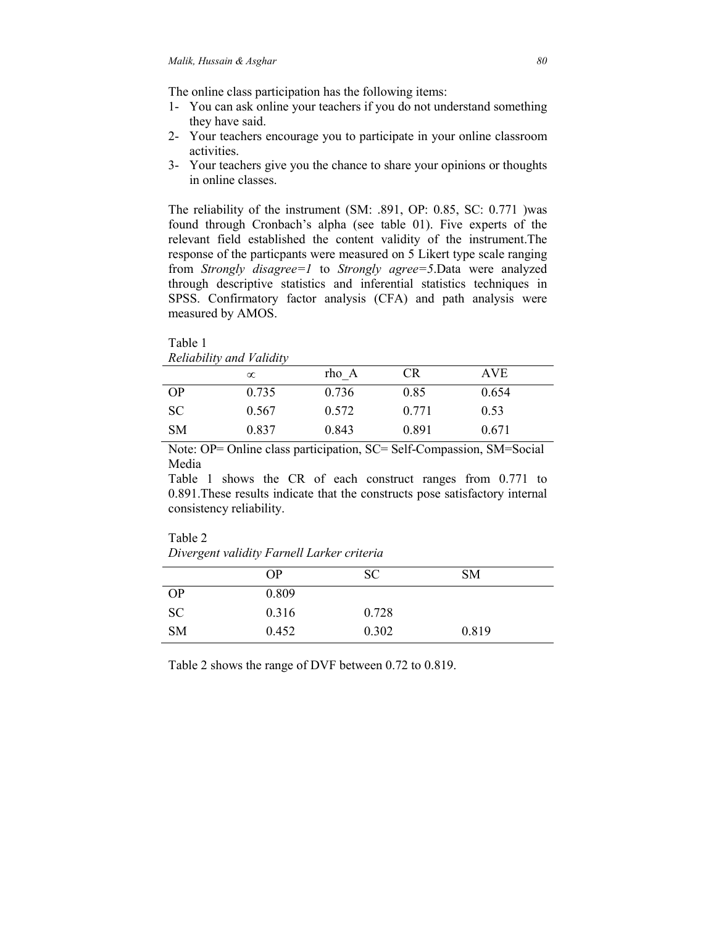The online class participation has the following items:

- 1- You can ask online your teachers if you do not understand something they have said.
- 2- Your teachers encourage you to participate in your online classroom activities.
- 3- Your teachers give you the chance to share your opinions or thoughts in online classes.

The reliability of the instrument (SM: .891, OP: 0.85, SC: 0.771 )was found through Cronbach's alpha (see table 01). Five experts of the relevant field established the content validity of the instrument.The response of the particpants were measured on 5 Likert type scale ranging from *Strongly disagree=1* to *Strongly agree=5*.Data were analyzed through descriptive statistics and inferential statistics techniques in SPSS. Confirmatory factor analysis (CFA) and path analysis were measured by AMOS.

Table 1 *Reliability and Validity* 

|           | $\infty$ | rho A | CR    | <b>AVE</b> |  |
|-----------|----------|-------|-------|------------|--|
| <b>OP</b> | 0.735    | 0.736 | 0.85  | 0.654      |  |
| <b>SC</b> | 0.567    | 0.572 | 0.771 | 0.53       |  |
| SΜ        | 0.837    | 0.843 | 0.891 | 0.671      |  |

Note: OP= Online class participation, SC= Self-Compassion, SM=Social Media

Table 1 shows the CR of each construct ranges from 0.771 to 0.891.These results indicate that the constructs pose satisfactory internal consistency reliability.

| Table 2                                    |
|--------------------------------------------|
| Divergent validity Farnell Larker criteria |

|           | <b>OP</b> | <b>SC</b> | <b>SM</b> |
|-----------|-----------|-----------|-----------|
| <b>OP</b> | 0.809     |           |           |
| <b>SC</b> | 0.316     | 0.728     |           |
| <b>SM</b> | 0.452     | 0.302     | 0.819     |

Table 2 shows the range of DVF between 0.72 to 0.819.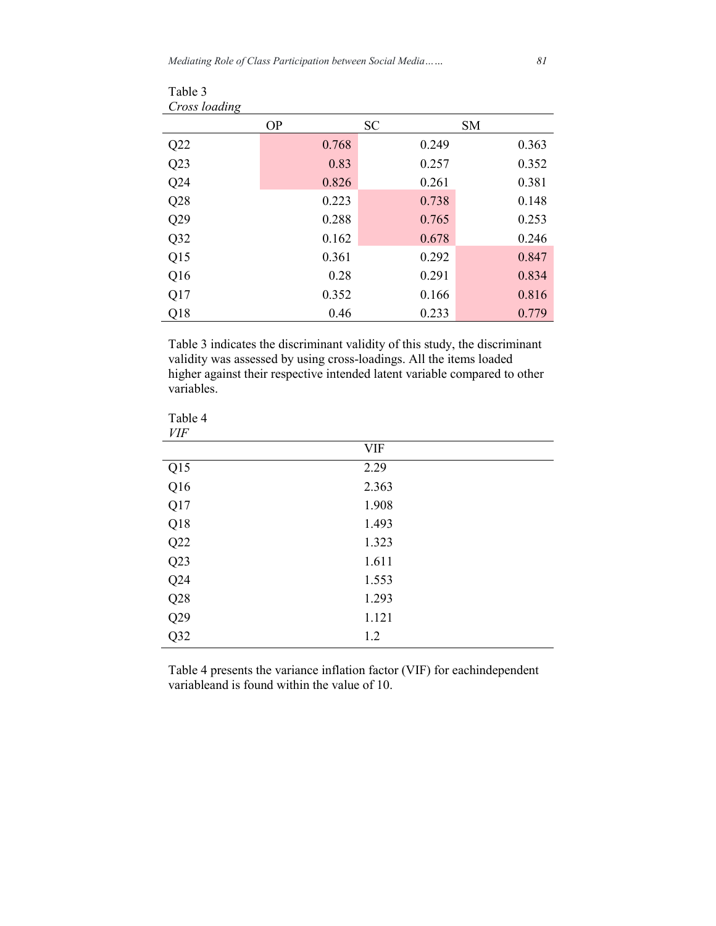Table 3

| Cross loading |           |           |           |
|---------------|-----------|-----------|-----------|
|               | <b>OP</b> | <b>SC</b> | <b>SM</b> |
| Q22           | 0.768     | 0.249     | 0.363     |
| Q23           | 0.83      | 0.257     | 0.352     |
| Q24           | 0.826     | 0.261     | 0.381     |
| Q28           | 0.223     | 0.738     | 0.148     |
| Q29           | 0.288     | 0.765     | 0.253     |
| Q32           | 0.162     | 0.678     | 0.246     |
| Q15           | 0.361     | 0.292     | 0.847     |
| Q16           | 0.28      | 0.291     | 0.834     |
| Q17           | 0.352     | 0.166     | 0.816     |
| Q18           | 0.46      | 0.233     | 0.779     |

Table 3 indicates the discriminant validity of this study, the discriminant validity was assessed by using cross-loadings. All the items loaded higher against their respective intended latent variable compared to other variables.

| Table 4<br><b>VIF</b> |            |
|-----------------------|------------|
|                       | <b>VIF</b> |
| Q15                   | 2.29       |
| Q16                   | 2.363      |
| Q17                   | 1.908      |
| Q18                   | 1.493      |
| Q22                   | 1.323      |
| Q23                   | 1.611      |
| Q24                   | 1.553      |
| Q28                   | 1.293      |
| Q29                   | 1.121      |
| Q32                   | 1.2        |

Table 4 presents the variance inflation factor (VIF) for eachindependent variableand is found within the value of 10.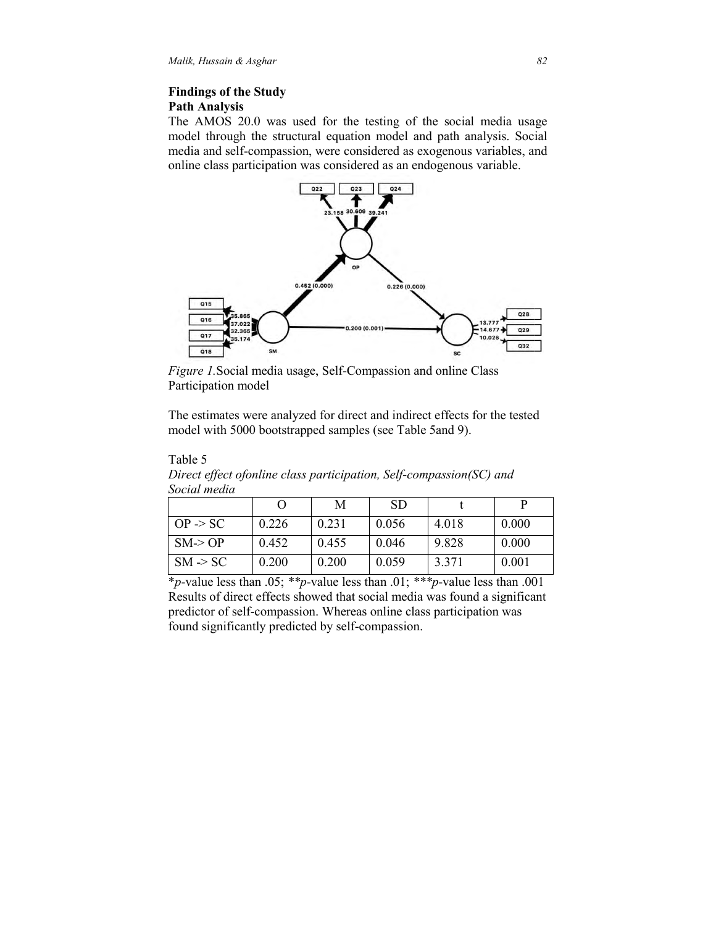## **Findings of the Study Path Analysis**

The AMOS 20.0 was used for the testing of the social media usage model through the structural equation model and path analysis. Social media and self-compassion, were considered as exogenous variables, and online class participation was considered as an endogenous variable.



*Figure 1.* Social media usage, Self-Compassion and online Class Participation model

The estimates were analyzed for direct and indirect effects for the tested model with 5000 bootstrapped samples (see Table 5and 9).

| Social meata        |       |       |           |       |       |
|---------------------|-------|-------|-----------|-------|-------|
|                     |       | M     | <b>SD</b> |       |       |
| $OP \ge SC$         | 0.226 | 0.231 | 0.056     | 4.018 | 0.000 |
| $SM \ge OP$         | 0.452 | 0.455 | 0.046     | 9.828 | 0.000 |
| $SM \rightarrow SC$ | 0.200 | 0.200 | 0.059     | 3.371 | 0.001 |

Table 5 Direct effect ofonline class participation, Self-compassion(SC) and  $S_{\text{e},\text{e},i\alpha}l$ 

\**p*-value less than .05 .05; *\*\*p*-value less than .01; *\*\*\*p*-value less than .001 Results of direct effects showed that social media was found a significant predictor of self-compassion. Whereas online class participation was found significantly predicted by self-compassion.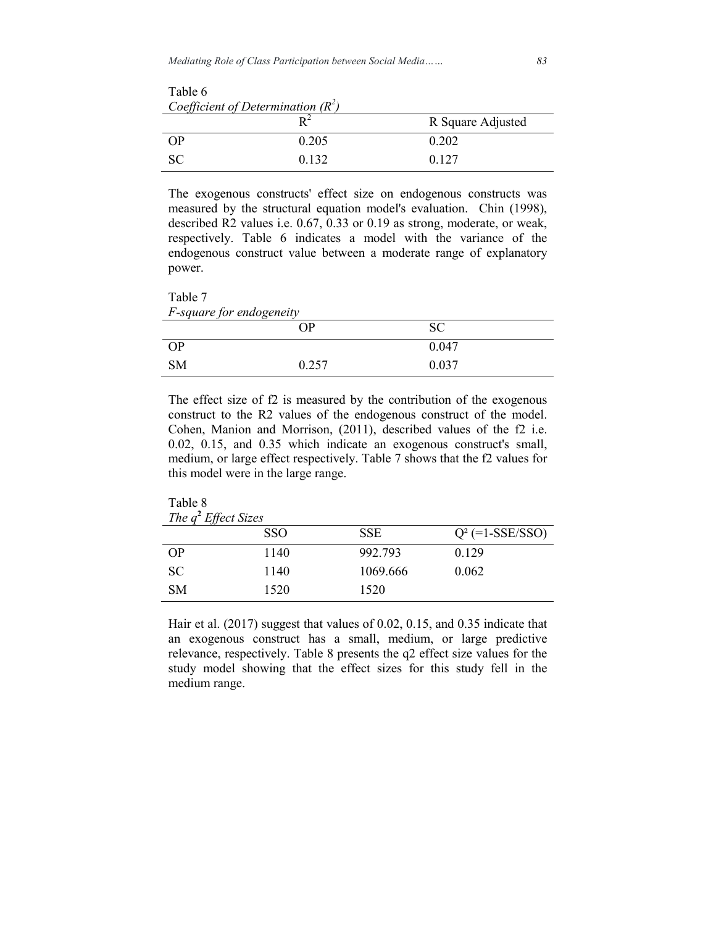| Coefficient of Determination $(R^2)$ |       |                   |  |  |
|--------------------------------------|-------|-------------------|--|--|
|                                      |       | R Square Adjusted |  |  |
| <b>OP</b>                            | 0.205 | 0.202             |  |  |
| SC.                                  | 0.132 | 0.127             |  |  |

The exogenous constructs' effect size on endogenous constructs was measured by the structural equation model's evaluation. Chin (1998), described R2 values i.e. 0.67, 0.33 or 0.19 as strong, moderate, or weak, respectively. Table 6 indicates a model with the variance of the endogenous construct value between a moderate range of explanatory power.

Table 7 *F-square for endogeneity*

Table 6

| 1 square for chaogeneny | OР    | <b>SC</b> |  |
|-------------------------|-------|-----------|--|
| <b>OP</b>               |       | 0.047     |  |
| <b>SM</b>               | 0.257 | 0.037     |  |

The effect size of f2 is measured by the contribution of the exogenous construct to the R2 values of the endogenous construct of the model. Cohen, Manion and Morrison, (2011), described values of the f2 i.e. 0.02, 0.15, and 0.35 which indicate an exogenous construct's small, medium, or large effect respectively. Table 7 shows that the f2 values for this model were in the large range.

Table 8

| The $q^2$ Effect Sizes |            |            |                    |  |
|------------------------|------------|------------|--------------------|--|
|                        | <b>SSO</b> | <b>SSE</b> | $Q^2$ (=1-SSE/SSO) |  |
| OP                     | 1140       | 992.793    | 0.129              |  |
| <b>SC</b>              | 1140       | 1069.666   | 0.062              |  |
| <b>SM</b>              | 1520       | 1520       |                    |  |

Hair et al. (2017) suggest that values of 0.02, 0.15, and 0.35 indicate that an exogenous construct has a small, medium, or large predictive relevance, respectively. Table 8 presents the q2 effect size values for the study model showing that the effect sizes for this study fell in the medium range.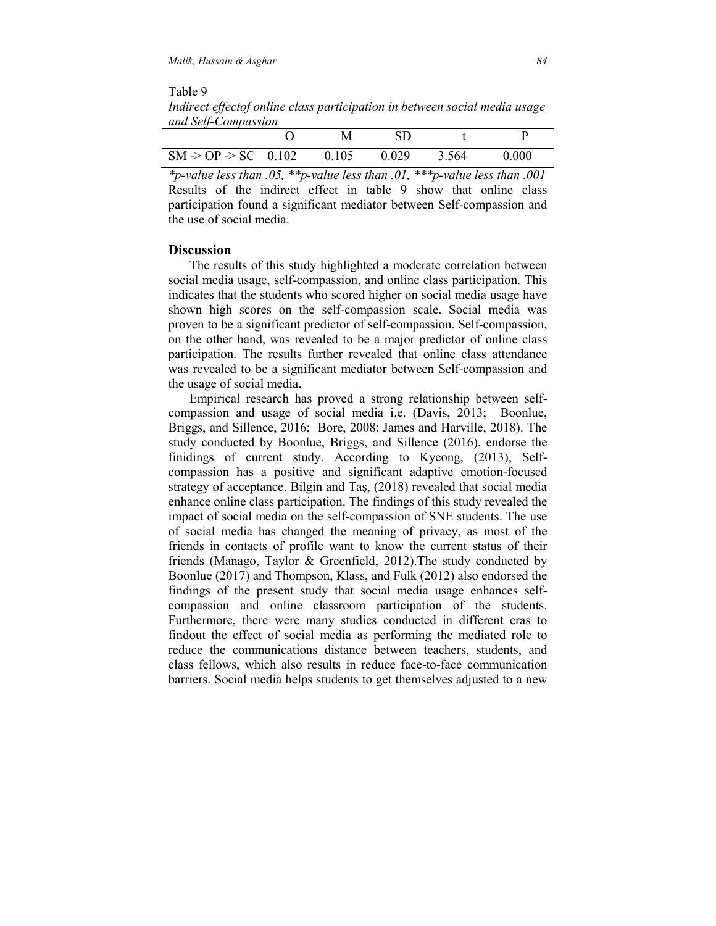Table 9 *Indirect effectof online class participation in between social media usage and Self-Compassion*

|                                                |  | SD    |       |       |
|------------------------------------------------|--|-------|-------|-------|
| $SM \rightarrow OP \rightarrow SC$ 0.102 0.105 |  | 0.029 | 3.564 | 0.000 |

*\*p-value less than .05, \*\*p-value less than .01, \*\*\*p-value less than .001*  Results of the indirect effect in table 9 show that online class participation found a significant mediator between Self-compassion and the use of social media.

#### **Discussion**

 The results of this study highlighted a moderate correlation between social media usage, self-compassion, and online class participation. This indicates that the students who scored higher on social media usage have shown high scores on the self-compassion scale. Social media was proven to be a significant predictor of self-compassion. Self-compassion, on the other hand, was revealed to be a major predictor of online class participation. The results further revealed that online class attendance was revealed to be a significant mediator between Self-compassion and the usage of social media.

 Empirical research has proved a strong relationship between selfcompassion and usage of social media i.e. (Davis, 2013; Boonlue, Briggs, and Sillence, 2016; Bore, 2008; James and Harville, 2018). The study conducted by Boonlue, Briggs, and Sillence (2016), endorse the finidings of current study. According to Kyeong, (2013), Selfcompassion has a positive and significant adaptive emotion-focused strategy of acceptance. Bilgin and Taş, (2018) revealed that social media enhance online class participation. The findings of this study revealed the impact of social media on the self-compassion of SNE students. The use of social media has changed the meaning of privacy, as most of the friends in contacts of profile want to know the current status of their friends (Manago, Taylor & Greenfield, 2012).The study conducted by Boonlue (2017) and Thompson, Klass, and Fulk (2012) also endorsed the findings of the present study that social media usage enhances selfcompassion and online classroom participation of the students. Furthermore, there were many studies conducted in different eras to findout the effect of social media as performing the mediated role to reduce the communications distance between teachers, students, and class fellows, which also results in reduce face-to-face communication barriers. Social media helps students to get themselves adjusted to a new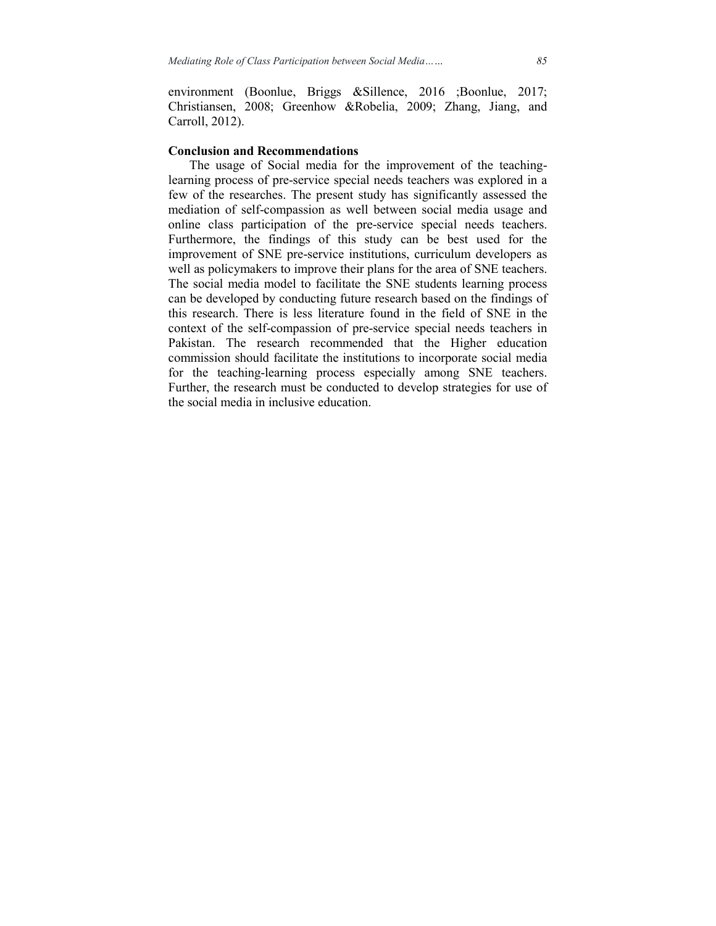environment (Boonlue, Briggs &Sillence, 2016 ;Boonlue, 2017; Christiansen, 2008; Greenhow &Robelia, 2009; Zhang, Jiang, and Carroll, 2012).

#### **Conclusion and Recommendations**

 The usage of Social media for the improvement of the teachinglearning process of pre-service special needs teachers was explored in a few of the researches. The present study has significantly assessed the mediation of self-compassion as well between social media usage and online class participation of the pre-service special needs teachers. Furthermore, the findings of this study can be best used for the improvement of SNE pre-service institutions, curriculum developers as well as policymakers to improve their plans for the area of SNE teachers. The social media model to facilitate the SNE students learning process can be developed by conducting future research based on the findings of this research. There is less literature found in the field of SNE in the context of the self-compassion of pre-service special needs teachers in Pakistan. The research recommended that the Higher education commission should facilitate the institutions to incorporate social media for the teaching-learning process especially among SNE teachers. Further, the research must be conducted to develop strategies for use of the social media in inclusive education.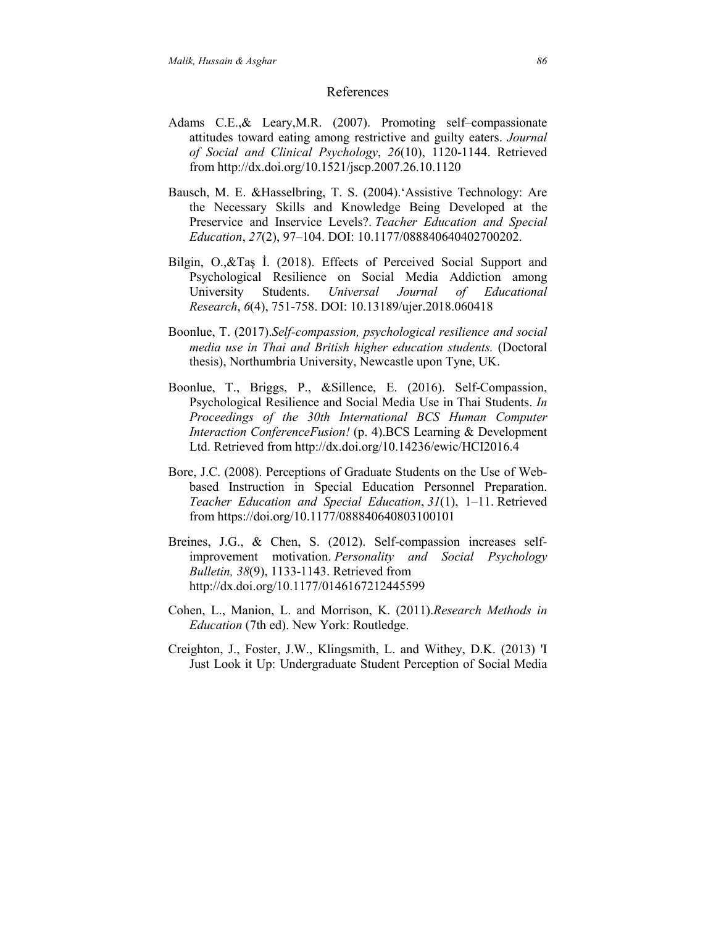#### References

- Adams C.E.,& Leary,M.R. (2007). Promoting self–compassionate attitudes toward eating among restrictive and guilty eaters. *Journal of Social and Clinical Psychology*, *26*(10), 1120-1144. Retrieved from http://dx.doi.org/10.1521/jscp.2007.26.10.1120
- Bausch, M. E. &Hasselbring, T. S. (2004).'Assistive Technology: Are the Necessary Skills and Knowledge Being Developed at the Preservice and Inservice Levels?. *Teacher Education and Special Education*, *27*(2), 97–104. DOI: 10.1177/088840640402700202.
- Bilgin, O.,&Taş İ. (2018). Effects of Perceived Social Support and Psychological Resilience on Social Media Addiction among University Students. *Universal Journal of Educational Research*, *6*(4), 751-758. DOI: 10.13189/ujer.2018.060418
- Boonlue, T. (2017).*Self-compassion, psychological resilience and social media use in Thai and British higher education students.* (Doctoral thesis), Northumbria University, Newcastle upon Tyne, UK.
- Boonlue, T., Briggs, P., &Sillence, E. (2016). Self-Compassion, Psychological Resilience and Social Media Use in Thai Students. *In Proceedings of the 30th International BCS Human Computer Interaction ConferenceFusion!* (p. 4).BCS Learning & Development Ltd. Retrieved from http://dx.doi.org/10.14236/ewic/HCI2016.4
- Bore, J.C. (2008). Perceptions of Graduate Students on the Use of Webbased Instruction in Special Education Personnel Preparation. *Teacher Education and Special Education*, *31*(1), 1–11. Retrieved from https://doi.org/10.1177/088840640803100101
- Breines, J.G., & Chen, S. (2012). Self-compassion increases selfimprovement motivation. *Personality and Social Psychology Bulletin, 38*(9), 1133-1143. Retrieved from http://dx.doi.org/10.1177/0146167212445599
- Cohen, L., Manion, L. and Morrison, K. (2011).*Research Methods in Education* (7th ed). New York: Routledge.
- Creighton, J., Foster, J.W., Klingsmith, L. and Withey, D.K. (2013) 'I Just Look it Up: Undergraduate Student Perception of Social Media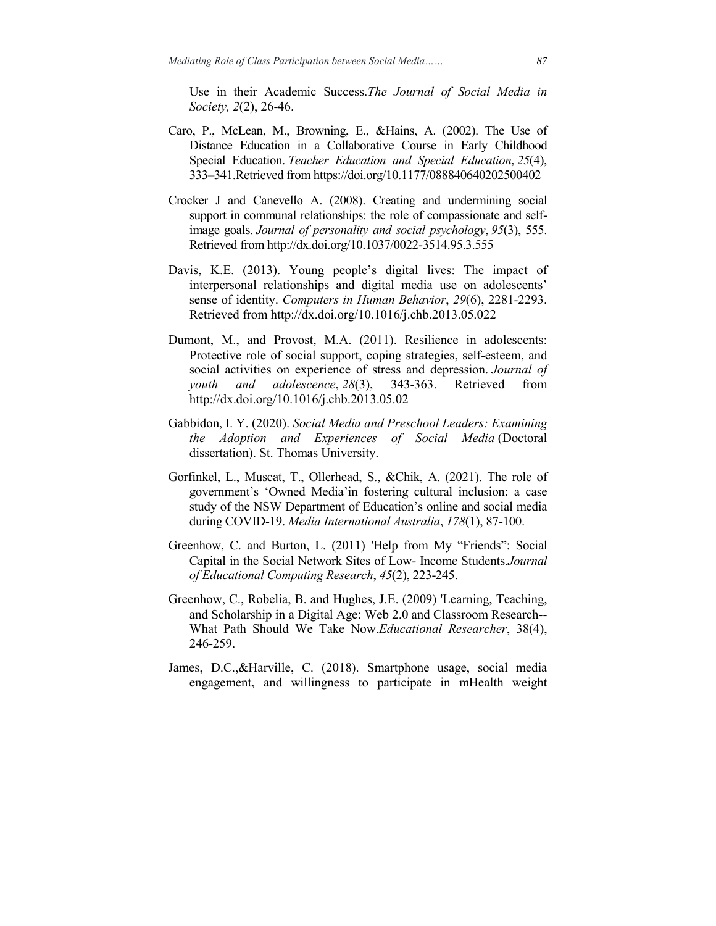Use in their Academic Success.*The Journal of Social Media in Society, 2*(2), 26-46.

- Caro, P., McLean, M., Browning, E., &Hains, A. (2002). The Use of Distance Education in a Collaborative Course in Early Childhood Special Education. *Teacher Education and Special Education*, *25*(4), 333–341.Retrieved from https://doi.org/10.1177/088840640202500402
- Crocker J and Canevello A. (2008). Creating and undermining social support in communal relationships: the role of compassionate and selfimage goals. *Journal of personality and social psychology*, *95*(3), 555. Retrieved from http://dx.doi.org/10.1037/0022-3514.95.3.555
- Davis, K.E. (2013). Young people's digital lives: The impact of interpersonal relationships and digital media use on adolescents' sense of identity. *Computers in Human Behavior*, *29*(6), 2281-2293. Retrieved from http://dx.doi.org/10.1016/j.chb.2013.05.022
- Dumont, M., and Provost, M.A. (2011). Resilience in adolescents: Protective role of social support, coping strategies, self-esteem, and social activities on experience of stress and depression. *Journal of youth and adolescence*, *28*(3), 343-363. Retrieved from http://dx.doi.org/10.1016/j.chb.2013.05.02
- Gabbidon, I. Y. (2020). *Social Media and Preschool Leaders: Examining the Adoption and Experiences of Social Media* (Doctoral dissertation). St. Thomas University.
- Gorfinkel, L., Muscat, T., Ollerhead, S., &Chik, A. (2021). The role of government's 'Owned Media'in fostering cultural inclusion: a case study of the NSW Department of Education's online and social media during COVID-19. *Media International Australia*, *178*(1), 87-100.
- Greenhow, C. and Burton, L. (2011) 'Help from My "Friends": Social Capital in the Social Network Sites of Low- Income Students.*Journal of Educational Computing Research*, *45*(2), 223-245.
- Greenhow, C., Robelia, B. and Hughes, J.E. (2009) 'Learning, Teaching, and Scholarship in a Digital Age: Web 2.0 and Classroom Research-- What Path Should We Take Now.*Educational Researcher*, 38(4), 246-259.
- James, D.C.,&Harville, C. (2018). Smartphone usage, social media engagement, and willingness to participate in mHealth weight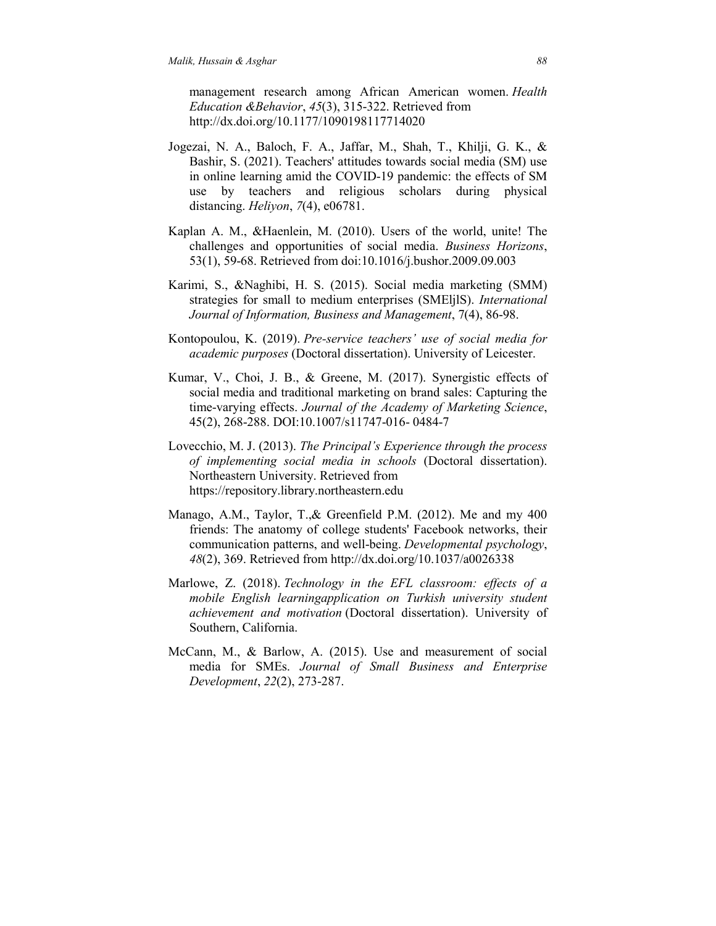management research among African American women. *Health Education &Behavior*, *45*(3), 315-322. Retrieved from http://dx.doi.org/10.1177/1090198117714020

- Jogezai, N. A., Baloch, F. A., Jaffar, M., Shah, T., Khilji, G. K., & Bashir, S. (2021). Teachers' attitudes towards social media (SM) use in online learning amid the COVID-19 pandemic: the effects of SM use by teachers and religious scholars during physical distancing. *Heliyon*, *7*(4), e06781.
- Kaplan A. M., &Haenlein, M. (2010). Users of the world, unite! The challenges and opportunities of social media. *Business Horizons*, 53(1), 59-68. Retrieved from doi:10.1016/j.bushor.2009.09.003
- Karimi, S., &Naghibi, H. S. (2015). Social media marketing (SMM) strategies for small to medium enterprises (SMEljlS). *International Journal of Information, Business and Management*, 7(4), 86-98.
- Kontopoulou, K. (2019). *Pre-service teachers' use of social media for academic purposes* (Doctoral dissertation). University of Leicester.
- Kumar, V., Choi, J. B., & Greene, M. (2017). Synergistic effects of social media and traditional marketing on brand sales: Capturing the time-varying effects. *Journal of the Academy of Marketing Science*, 45(2), 268-288. DOI:10.1007/s11747-016- 0484-7
- Lovecchio, M. J. (2013). *The Principal's Experience through the process of implementing social media in schools* (Doctoral dissertation). Northeastern University. Retrieved from https://repository.library.northeastern.edu
- Manago, A.M., Taylor, T.,& Greenfield P.M. (2012). Me and my 400 friends: The anatomy of college students' Facebook networks, their communication patterns, and well-being. *Developmental psychology*, *48*(2), 369. Retrieved from http://dx.doi.org/10.1037/a0026338
- Marlowe, Z. (2018). *Technology in the EFL classroom: effects of a mobile English learningapplication on Turkish university student achievement and motivation* (Doctoral dissertation). University of Southern, California.
- McCann, M., & Barlow, A. (2015). Use and measurement of social media for SMEs. *Journal of Small Business and Enterprise Development*, *22*(2), 273-287.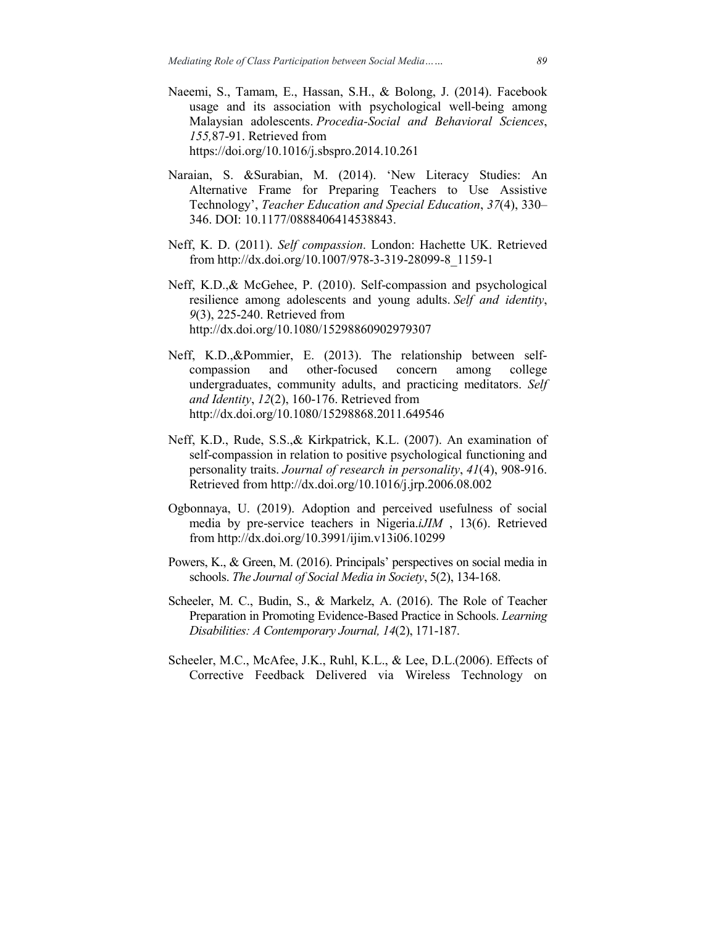- Naeemi, S., Tamam, E., Hassan, S.H., & Bolong, J. (2014). Facebook usage and its association with psychological well-being among Malaysian adolescents. *Procedia-Social and Behavioral Sciences*, *155,*87-91. Retrieved from https://doi.org/10.1016/j.sbspro.2014.10.261
- Naraian, S. &Surabian, M. (2014). 'New Literacy Studies: An Alternative Frame for Preparing Teachers to Use Assistive Technology', *Teacher Education and Special Education*, *37*(4), 330– 346. DOI: 10.1177/0888406414538843.
- Neff, K. D. (2011). *Self compassion*. London: Hachette UK. Retrieved from http://dx.doi.org/10.1007/978-3-319-28099-8\_1159-1
- Neff, K.D.,& McGehee, P. (2010). Self-compassion and psychological resilience among adolescents and young adults. *Self and identity*, *9*(3), 225-240. Retrieved from http://dx.doi.org/10.1080/15298860902979307
- Neff, K.D.,&Pommier, E. (2013). The relationship between selfcompassion and other-focused concern among college undergraduates, community adults, and practicing meditators. *Self and Identity*, *12*(2), 160-176. Retrieved from http://dx.doi.org/10.1080/15298868.2011.649546
- Neff, K.D., Rude, S.S.,& Kirkpatrick, K.L. (2007). An examination of self-compassion in relation to positive psychological functioning and personality traits. *Journal of research in personality*, *41*(4), 908-916. Retrieved from http://dx.doi.org/10.1016/j.jrp.2006.08.002
- Ogbonnaya, U. (2019). Adoption and perceived usefulness of social media by pre-service teachers in Nigeria.*iJIM* , 13(6). Retrieved from http://dx.doi.org/10.3991/ijim.v13i06.10299
- Powers, K., & Green, M. (2016). Principals' perspectives on social media in schools. *The Journal of Social Media in Society*, 5(2), 134-168.
- Scheeler, M. C., Budin, S., & Markelz, A. (2016). The Role of Teacher Preparation in Promoting Evidence-Based Practice in Schools. *Learning Disabilities: A Contemporary Journal, 14*(2), 171-187.
- Scheeler, M.C., McAfee, J.K., Ruhl, K.L., & Lee, D.L.(2006). Effects of Corrective Feedback Delivered via Wireless Technology on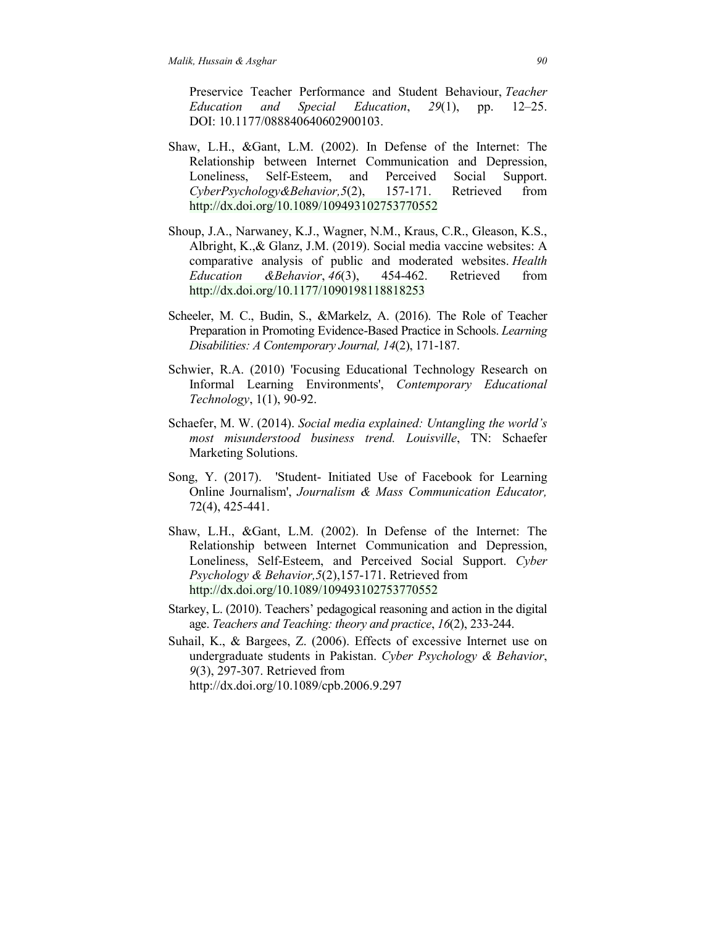Preservice Teacher Performance and Student Behaviour, *Teacher Education and Special Education*, *29*(1), pp. 12–25. DOI: 10.1177/088840640602900103.

- Shaw, L.H., &Gant, L.M. (2002). In Defense of the Internet: The Relationship between Internet Communication and Depression, Loneliness, Self-Esteem, and Perceived Social Support. *CyberPsychology&Behavior,5*(2), 157-171. Retrieved from http://dx.doi.org/10.1089/109493102753770552
- Shoup, J.A., Narwaney, K.J., Wagner, N.M., Kraus, C.R., Gleason, K.S., Albright, K.,& Glanz, J.M. (2019). Social media vaccine websites: A comparative analysis of public and moderated websites. *Health Education &Behavior*, *46*(3), 454-462. Retrieved from http://dx.doi.org/10.1177/1090198118818253
- Scheeler, M. C., Budin, S., &Markelz, A. (2016). The Role of Teacher Preparation in Promoting Evidence-Based Practice in Schools. *Learning Disabilities: A Contemporary Journal, 14*(2), 171-187.
- Schwier, R.A. (2010) 'Focusing Educational Technology Research on Informal Learning Environments', *Contemporary Educational Technology*, 1(1), 90-92.
- Schaefer, M. W. (2014). *Social media explained: Untangling the world's most misunderstood business trend. Louisville*, TN: Schaefer Marketing Solutions.
- Song, Y. (2017). 'Student- Initiated Use of Facebook for Learning Online Journalism', *Journalism & Mass Communication Educator,* 72(4), 425-441.
- Shaw, L.H., &Gant, L.M. (2002). In Defense of the Internet: The Relationship between Internet Communication and Depression, Loneliness, Self-Esteem, and Perceived Social Support. *Cyber Psychology & Behavior,5*(2),157-171. Retrieved from http://dx.doi.org/10.1089/109493102753770552
- Starkey, L. (2010). Teachers' pedagogical reasoning and action in the digital age. *Teachers and Teaching: theory and practice*, *16*(2), 233-244.
- Suhail, K., & Bargees, Z. (2006). Effects of excessive Internet use on undergraduate students in Pakistan. *Cyber Psychology & Behavior*, *9*(3), 297-307. Retrieved from http://dx.doi.org/10.1089/cpb.2006.9.297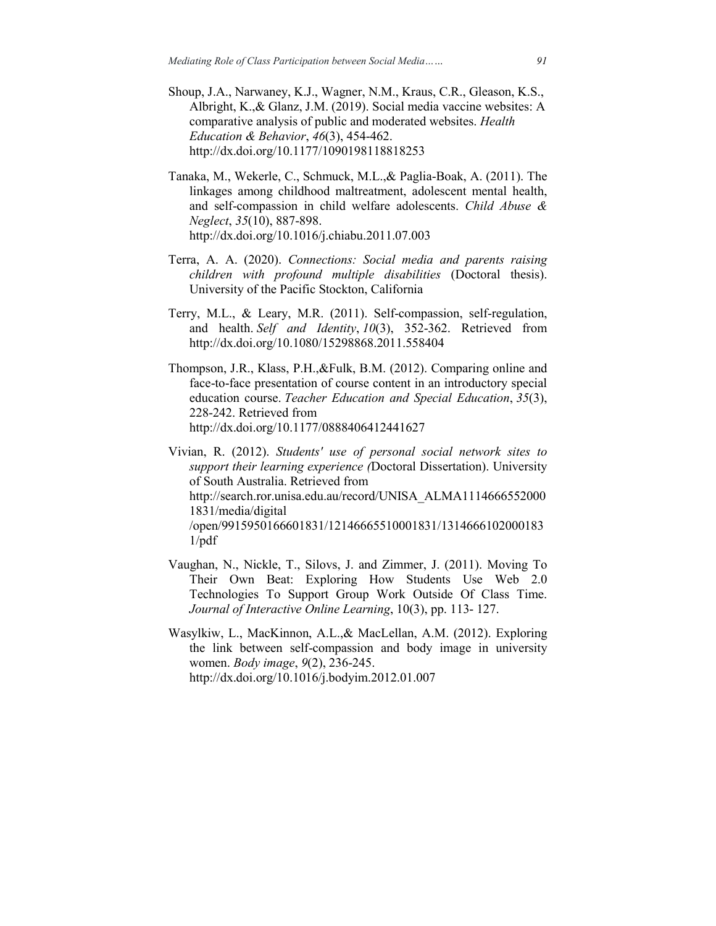- Shoup, J.A., Narwaney, K.J., Wagner, N.M., Kraus, C.R., Gleason, K.S., Albright, K.,& Glanz, J.M. (2019). Social media vaccine websites: A comparative analysis of public and moderated websites. *Health Education & Behavior*, *46*(3), 454-462. http://dx.doi.org/10.1177/1090198118818253
- Tanaka, M., Wekerle, C., Schmuck, M.L.,& Paglia-Boak, A. (2011). The linkages among childhood maltreatment, adolescent mental health, and self-compassion in child welfare adolescents. *Child Abuse & Neglect*, *35*(10), 887-898. http://dx.doi.org/10.1016/j.chiabu.2011.07.003
- Terra, A. A. (2020). *Connections: Social media and parents raising children with profound multiple disabilities* (Doctoral thesis). University of the Pacific Stockton, California
- Terry, M.L., & Leary, M.R. (2011). Self-compassion, self-regulation, and health. *Self and Identity*, *10*(3), 352-362. Retrieved from http://dx.doi.org/10.1080/15298868.2011.558404
- Thompson, J.R., Klass, P.H.,&Fulk, B.M. (2012). Comparing online and face-to-face presentation of course content in an introductory special education course. *Teacher Education and Special Education*, *35*(3), 228-242. Retrieved from http://dx.doi.org/10.1177/0888406412441627

Vivian, R. (2012). *Students' use of personal social network sites to support their learning experience (*Doctoral Dissertation). University of South Australia. Retrieved from http://search.ror.unisa.edu.au/record/UNISA\_ALMA1114666552000 1831/media/digital /open/9915950166601831/12146665510001831/1314666102000183 1/pdf

- Vaughan, N., Nickle, T., Silovs, J. and Zimmer, J. (2011). Moving To Their Own Beat: Exploring How Students Use Web 2.0 Technologies To Support Group Work Outside Of Class Time. *Journal of Interactive Online Learning*, 10(3), pp. 113- 127.
- Wasylkiw, L., MacKinnon, A.L.,& MacLellan, A.M. (2012). Exploring the link between self-compassion and body image in university women. *Body image*, *9*(2), 236-245. http://dx.doi.org/10.1016/j.bodyim.2012.01.007